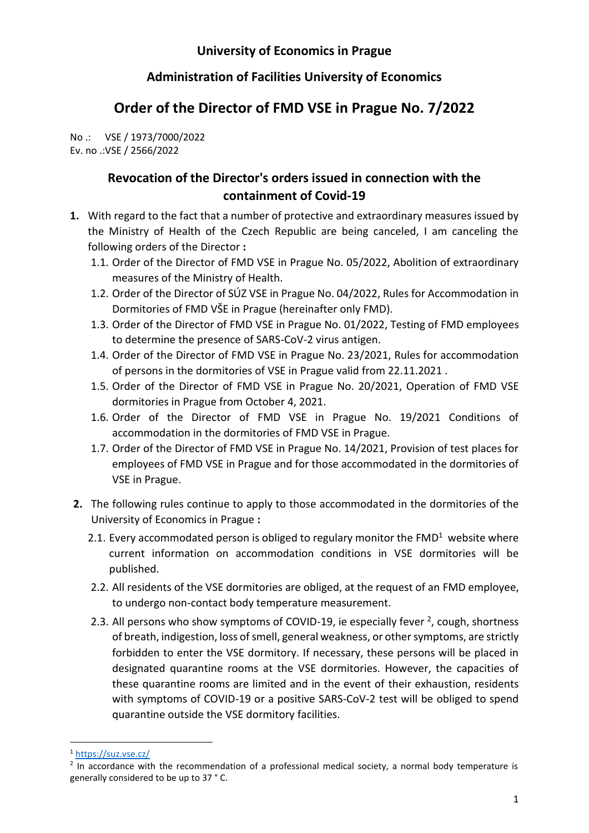## **University of Economics in Prague**

## **Administration of Facilities University of Economics**

## **Order of the Director of FMD VSE in Prague No. 7/2022**

No .: VSE / 1973/7000/2022 Ev. no .:VSE / 2566/2022

## **Revocation of the Director's orders issued in connection with the containment of Covid-19**

- **1.** With regard to the fact that a number of protective and extraordinary measures issued by the Ministry of Health of the Czech Republic are being canceled, I am canceling the following orders of the Director **:**
	- 1.1. Order of the Director of FMD VSE in Prague No. 05/2022, Abolition of extraordinary measures of the Ministry of Health.
	- 1.2. Order of the Director of SÚZ VSE in Prague No. 04/2022, Rules for Accommodation in Dormitories of FMD VŠE in Prague (hereinafter only FMD).
	- 1.3. Order of the Director of FMD VSE in Prague No. 01/2022, Testing of FMD employees to determine the presence of SARS-CoV-2 virus antigen.
	- 1.4. Order of the Director of FMD VSE in Prague No. 23/2021, Rules for accommodation of persons in the dormitories of VSE in Prague valid from 22.11.2021 .
	- 1.5. Order of the Director of FMD VSE in Prague No. 20/2021, Operation of FMD VSE dormitories in Prague from October 4, 2021.
	- 1.6. Order of the Director of FMD VSE in Prague No. 19/2021 Conditions of accommodation in the dormitories of FMD VSE in Prague.
	- 1.7. Order of the Director of FMD VSE in Prague No. 14/2021, Provision of test places for employees of FMD VSE in Prague and for those accommodated in the dormitories of VSE in Prague.
- **2.** The following rules continue to apply to those accommodated in the dormitories of the University of Economics in Prague **:**
	- 2.1. Every accommodated person is obliged to regulary monitor the FMD<sup>1</sup> website where current information on accommodation conditions in VSE dormitories will be published.
	- 2.2. All residents of the VSE dormitories are obliged, at the request of an FMD employee, to undergo non-contact body temperature measurement.
	- 2.3. All persons who show symptoms of COVID-19, ie especially fever  $^2$ , cough, shortness of breath, indigestion, loss of smell, general weakness, or other symptoms, are strictly forbidden to enter the VSE dormitory. If necessary, these persons will be placed in designated quarantine rooms at the VSE dormitories. However, the capacities of these quarantine rooms are limited and in the event of their exhaustion, residents with symptoms of COVID-19 or a positive SARS-CoV-2 test will be obliged to spend quarantine outside the VSE dormitory facilities.

<sup>1</sup> <https://suz.vse.cz/>

 $2$  In accordance with the recommendation of a professional medical society, a normal body temperature is generally considered to be up to 37 ° C.